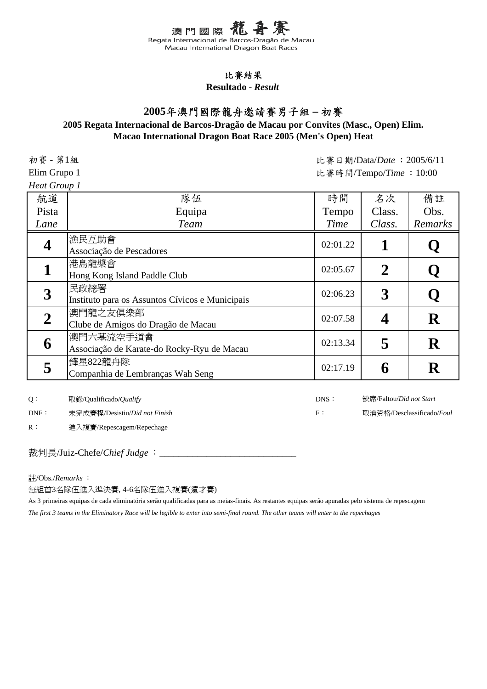#### 比賽結果

**Resultado -** *Result*

## **2005**年澳門國際龍舟邀請賽男子組 **–** 初賽

#### **Macao International Dragon Boat Race 2005 (Men's Open) Heat 2005 Regata Internacional de Barcos-Dragão de Macau por Convites (Masc., Open) Elim.**

初賽 - 第1組

*Heat Group 1*

比賽日期/Data/*Date* :2005/6/11 Elim Grupo 1 the first state of the state of the state of the state of the state of the state of the state of the state of the state of the state of the state of the state of the state of the state of the state of the sta

| 航道    | 隊伍                                                      | 時間       | 名次     | 備註          |
|-------|---------------------------------------------------------|----------|--------|-------------|
| Pista | Equipa                                                  | Tempo    | Class. | Obs.        |
| Lane  | <b>Team</b>                                             | Time     | Class. | Remarks     |
|       | 漁民互助會<br>Associação de Pescadores                       | 02:01.22 |        |             |
|       | 港島龍槳會<br>Hong Kong Island Paddle Club                   | 02:05.67 | 2      | Q           |
| 3     | 民政總署<br>Instituto para os Assuntos Cívicos e Municipais | 02:06.23 | 3      | Q           |
|       | 澳門龍之友俱樂部<br>Clube de Amigos do Dragão de Macau          | 02:07.58 |        | $\mathbf R$ |
| 6     | 澳門六基流空手道會<br>Associação de Karate-do Rocky-Ryu de Macau | 02:13.34 | 5      | ${\bf R}$   |
|       | 鏵星822龍舟隊<br>Companhia de Lembranças Wah Seng            | 02:17.19 | 6      | ${\bf R}$   |

Q: 取錄/Qualificado/*Qualify* DNS:

DNF: 未完成賽程/Desistiu/*Did not Finish* F: F:

缺席/Faltou/*Did not Start*

取消資格/Desclassificado/*Foul*

R: 進入複賽/Repescagem/Repechage

裁判長/Juiz-Chefe/*Chief Judge* :

註/Obs./*Remarks* :

每組首3名隊伍進入準決賽, 4-6名隊伍進入複賽(遺才賽)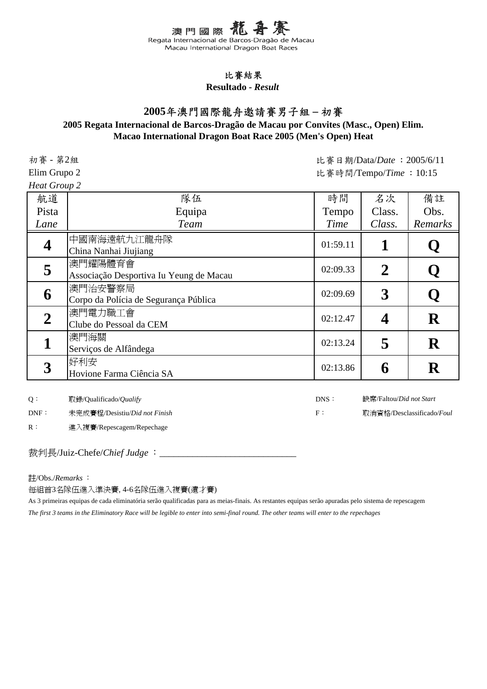#### 比賽結果

**Resultado -** *Result*

## **2005**年澳門國際龍舟邀請賽男子組 **–** 初賽

#### **Macao International Dragon Boat Race 2005 (Men's Open) Heat 2005 Regata Internacional de Barcos-Dragão de Macau por Convites (Masc., Open) Elim.**

初賽 - 第2組

*Heat Group 2*

比賽日期/Data/*Date* :2005/6/11 Elim Grupo 2 the State of the State of the State of the State of the State of the State of the State of the State of the State of the State of the State of the State of the State of the State of the State of the State of

| 航道          | 隊伍                                                 | 時間       | 名次     | 備註          |
|-------------|----------------------------------------------------|----------|--------|-------------|
| Pista       | Equipa                                             | Tempo    | Class. | Obs.        |
| Lane        | <b>Team</b>                                        | Time     | Class. | Remarks     |
|             | 中國南海遠航九江龍舟隊<br>China Nanhai Jiujiang               | 01:59.11 |        |             |
|             | 澳門耀陽體育會<br>Associação Desportiva Iu Yeung de Macau | 02:09.33 | 2      | Q           |
| 6           | 澳門治安警察局<br>Corpo da Polícia de Segurança Pública   | 02:09.69 | 3      | Q           |
| $\mathbf 2$ | 澳門電力職工會<br>Clube do Pessoal da CEM                 | 02:12.47 |        | R           |
|             | 澳門海關<br>Serviços de Alfândega                      | 02:13.24 | 5      | $\mathbf R$ |
|             | 好利安<br>Hovione Farma Ciência SA                    | 02:13.86 | 6      | ${\bf R}$   |

Q: 取錄/Qualificado/*Qualify* DNS:

DNF: 未完成賽程/Desistiu/*Did not Finish* F: F:

R: 進入複賽/Repescagem/Repechage

裁判長/Juiz-Chefe/*Chief Judge* :

註/Obs./*Remarks* :

每組首3名隊伍進入準決賽, 4-6名隊伍進入複賽(遺才賽)

As 3 primeiras equipas de cada eliminatória serão qualificadas para as meias-finais. As restantes equipas serão apuradas pelo sistema de repescagem *The first 3 teams in the Eliminatory Race will be legible to enter into semi-final round. The other teams will enter to the repechages*

缺席/Faltou/*Did not Start* 取消資格/Desclassificado/*Foul*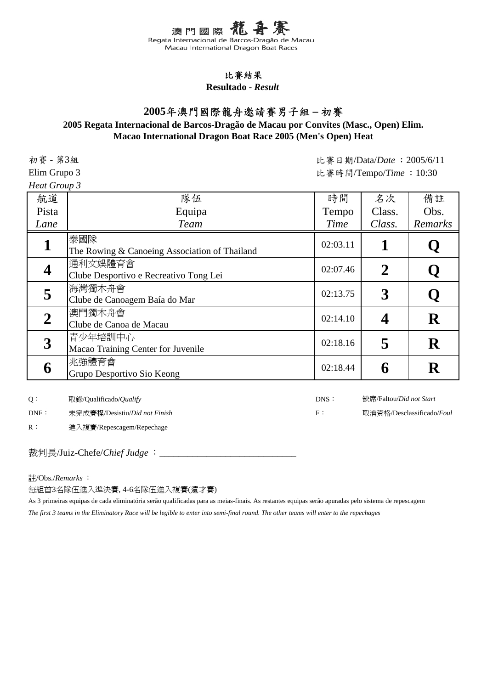#### 比賽結果

**Resultado -** *Result*

## **2005**年澳門國際龍舟邀請賽男子組 **–** 初賽

#### **Macao International Dragon Boat Race 2005 (Men's Open) Heat 2005 Regata Internacional de Barcos-Dragão de Macau por Convites (Masc., Open) Elim.**

初賽 - 第3組

*Heat Group 3*

比賽日期/Data/*Date* :2005/6/11 Elim Grupo 3 <br>
the settlem of the settlem of the settlem of the settlem of the settlem of the settlem of the settlem of the settlem of the settlem of the settlem of the settlem of the settlem of the settlem of the settlem

| 航道          | 隊伍                                                   | 時間       | 名次          | 備註          |
|-------------|------------------------------------------------------|----------|-------------|-------------|
| Pista       | Equipa                                               | Tempo    | Class.      | Obs.        |
| Lane        | <b>Team</b>                                          | Time     | Class.      | Remarks     |
|             | 泰國隊<br>The Rowing & Canoeing Association of Thailand | 02:03.11 |             | Q           |
|             | 通利文娛體育會<br>Clube Desportivo e Recreativo Tong Lei    | 02:07.46 | $\mathbf 2$ | Q           |
| 5           | 海灣獨木舟會<br>Clube de Canoagem Baía do Mar              | 02:13.75 | 3           | Q           |
| $\mathbf 2$ | 澳門獨木舟會<br>Clube de Canoa de Macau                    | 02:14.10 |             | $\mathbf R$ |
| 3           | 青少年培訓中心<br>Macao Training Center for Juvenile        | 02:18.16 | 5           | $\mathbf R$ |
| 6           | 兆強體育會<br>Grupo Desportivo Sio Keong                  | 02:18.44 | b           | ${\bf R}$   |

Q: 取錄/Qualificado/*Qualify* DNS:

DNF: 未完成賽程/Desistiu/*Did not Finish* F: F:

缺席/Faltou/*Did not Start* 取消資格/Desclassificado/*Foul*

R: 進入複賽/Repescagem/Repechage

裁判長/Juiz-Chefe/*Chief Judge* :

註/Obs./*Remarks* :

每組首3名隊伍進入準決賽, 4-6名隊伍進入複賽(遺才賽)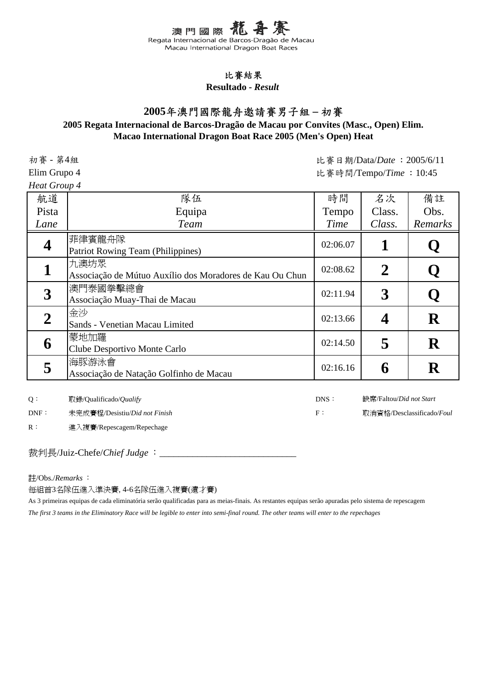#### 比賽結果

**Resultado -** *Result*

## **2005**年澳門國際龍舟邀請賽男子組 **–** 初賽

#### **Macao International Dragon Boat Race 2005 (Men's Open) Heat 2005 Regata Internacional de Barcos-Dragão de Macau por Convites (Masc., Open) Elim.**

初賽 - 第4組

*Heat Group 4*

比賽日期/Data/*Date* :2005/6/11 Elim Grupo 4 the set of the set of the set of the set of the set of the set of the set of the set of the set of the set of the set of the set of the set of the set of the set of the set of the set of the set of the set of

| 航道    | 隊伍                                                               | 時間       | 名次     | 備註          |
|-------|------------------------------------------------------------------|----------|--------|-------------|
| Pista | Equipa                                                           | Tempo    | Class. | Obs.        |
| Lane  | <b>Team</b>                                                      | Time     | Class. | Remarks     |
|       | 菲律賓龍舟隊<br><b>Patriot Rowing Team (Philippines)</b>               | 02:06.07 |        |             |
|       | 九澳坊眾<br>Associação de Mútuo Auxílio dos Moradores de Kau Ou Chun | 02:08.62 | 2      | Q           |
| 3     | 澳門泰國拳擊總會<br>Associação Muay-Thai de Macau                        | 02:11.94 | 3      | Q           |
| 2     | 金沙<br>Sands - Venetian Macau Limited                             | 02:13.66 |        | ${\bf R}$   |
| 6     | 蒙地加羅<br>Clube Desportivo Monte Carlo                             | 02:14.50 | 5      | $\mathbf R$ |
|       | 海豚游泳會<br>Associação de Natação Golfinho de Macau                 | 02:16.16 | 6      | $\mathbf R$ |

Q: 取錄/Qualificado/*Qualify* DNS:

DNF: 未完成賽程/Desistiu/*Did not Finish* F: F:

缺席/Faltou/*Did not Start* 取消資格/Desclassificado/*Foul*

R: 進入複賽/Repescagem/Repechage

裁判長/Juiz-Chefe/*Chief Judge* :

註/Obs./*Remarks* :

每組首3名隊伍進入準決賽, 4-6名隊伍進入複賽(遺才賽)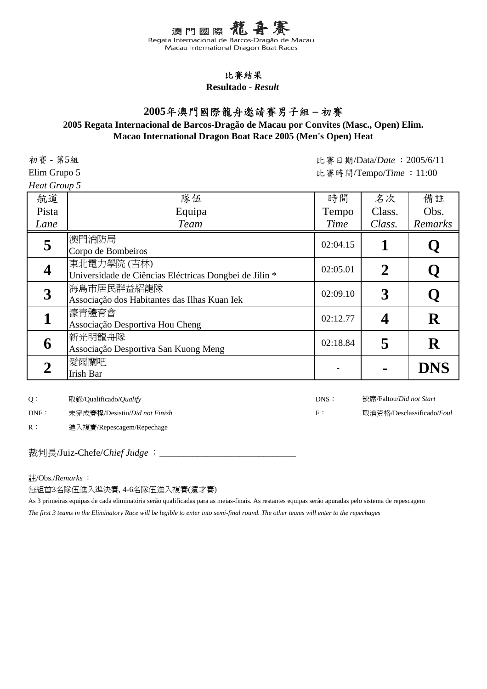#### 比賽結果

**Resultado -** *Result*

## **2005**年澳門國際龍舟邀請賽男子組 **–** 初賽

#### **Macao International Dragon Boat Race 2005 (Men's Open) Heat 2005 Regata Internacional de Barcos-Dragão de Macau por Convites (Masc., Open) Elim.**

初賽 - 第5組

*Heat Group 5*

比賽日期/Data/*Date* :2005/6/11 Elim Grupo 5 <br>
the settlem of the settlem of the settlem of the settlem of the settlem of the settlem of the settlem of the settlem of the settlem of the settlem of the settlem of the settlem of the settlem of the settlem

| 航道    | 隊伍                                                                    | 時間       | 名次             | 備註          |
|-------|-----------------------------------------------------------------------|----------|----------------|-------------|
| Pista | Equipa                                                                | Tempo    | Class.         | Obs.        |
| Lane  | <b>Team</b>                                                           | Time     | Class.         | Remarks     |
| 5     | 澳門消防局<br>Corpo de Bombeiros                                           | 02:04.15 |                |             |
|       | 東北電力學院 (吉林)<br>Universidade de Ciências Eléctricas Dongbei de Jilin * | 02:05.01 | $\overline{2}$ | $\mathbf Q$ |
| 3     | 海島市居民群益紹龍隊<br>Associação dos Habitantes das Ilhas Kuan Iek            | 02:09.10 | 3              | Q           |
|       | 濠青體育會<br>Associação Desportiva Hou Cheng                              | 02:12.77 |                | $\mathbf R$ |
| 6     | 新光明龍舟隊<br>Associação Desportiva San Kuong Meng                        | 02:18.84 | 5              | $\mathbf R$ |
|       | 愛爾蘭吧<br>Irish Bar                                                     |          |                | <b>DNS</b>  |

Q: 取錄/Qualificado/*Qualify* DNS:

DNF: 未完成賽程/Desistiu/*Did not Finish* F: F:

R: 進入複賽/Repescagem/Repechage

裁判長/Juiz-Chefe/*Chief Judge* :

註/Obs./*Remarks* :

每組首3名隊伍進入準決賽, 4-6名隊伍進入複賽(遺才賽)

As 3 primeiras equipas de cada eliminatória serão qualificadas para as meias-finais. As restantes equipas serão apuradas pelo sistema de repescagem *The first 3 teams in the Eliminatory Race will be legible to enter into semi-final round. The other teams will enter to the repechages*

缺席/Faltou/*Did not Start* 取消資格/Desclassificado/*Foul*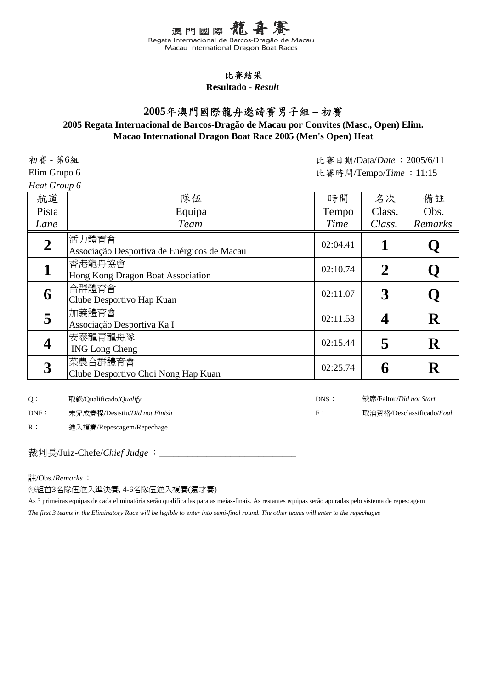#### 比賽結果

**Resultado -** *Result*

## **2005**年澳門國際龍舟邀請賽男子組 **–** 初賽

#### **Macao International Dragon Boat Race 2005 (Men's Open) Heat 2005 Regata Internacional de Barcos-Dragão de Macau por Convites (Masc., Open) Elim.**

初賽 - 第6組

*Heat Group 6*

比賽日期/Data/*Date* :2005/6/11 Elim Grupo 6 <br>
the settlem of the settlem of the settlem of the settlem of the settlem of the settlem of the settlem of the settlem of the settlem of the settlem of the settlem of the settlem of the settlem of the settlem

| 航道               | 隊伍                                                   | 時間       | 名次               | 備註          |
|------------------|------------------------------------------------------|----------|------------------|-------------|
| Pista            | Equipa                                               | Tempo    | Class.           | Obs.        |
| Lane             | <b>Team</b>                                          | Time     | Class.           | Remarks     |
| $\boldsymbol{2}$ | 活力體育會<br>Associação Desportiva de Enérgicos de Macau | 02:04.41 |                  | Q           |
|                  | 香港龍舟協會<br>Hong Kong Dragon Boat Association          | 02:10.74 | $\boldsymbol{2}$ | Q           |
| 6                | 合群體育會<br>Clube Desportivo Hap Kuan                   | 02:11.07 | 3                | Q           |
| 5                | 加義體育會<br>Associação Desportiva Ka I                  | 02:11.53 |                  | $\mathbf R$ |
|                  | 安泰龍青龍舟隊<br><b>ING Long Cheng</b>                     | 02:15.44 | 5                | ${\bf R}$   |
| 3                | 菜農合群體育會<br>Clube Desportivo Choi Nong Hap Kuan       | 02:25.74 | 6                | $\mathbf R$ |

Q: 取錄/Qualificado/*Qualify* DNS:

DNF: 未完成賽程/Desistiu/*Did not Finish* F: F:

缺席/Faltou/*Did not Start*

取消資格/Desclassificado/*Foul*

R: 進入複賽/Repescagem/Repechage

裁判長/Juiz-Chefe/*Chief Judge* :

註/Obs./*Remarks* :

每組首3名隊伍進入準決賽, 4-6名隊伍進入複賽(遺才賽)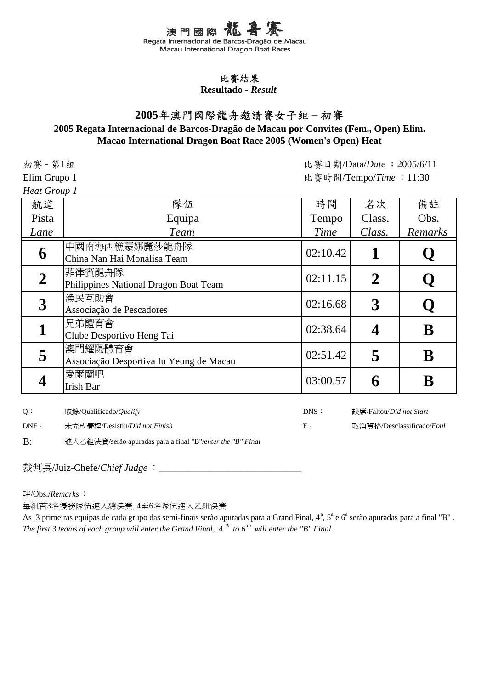#### 比賽結果

**Resultado -** *Result*

# **2005**年澳門國際龍舟邀請賽女子組 **–** 初賽

## **2005 Regata Internacional de Barcos-Dragão de Macau por Convites (Fem., Open) Elim. Macao International Dragon Boat Race 2005 (Women's Open) Heat**

比賽日期/Data/*Date* :2005/6/11

缺席/Faltou/*Did not Start* 取消資格/Desclassificado/*Foul*

初賽 - 第1組

Elim Grupo 1 the function of the set of the set of the set of the set of the set of the set of the set of the set of the set of the set of the set of the set of the set of the set of the set of the set of the set of the s

Heat G

| eat Group 1      |                                                    |          |        |         |
|------------------|----------------------------------------------------|----------|--------|---------|
| 航道               | 隊伍                                                 | 時間       | 名次     | 備註      |
| Pista            | Equipa                                             | Tempo    | Class. | Obs.    |
| Lane             | <b>Team</b>                                        | Time     | Class. | Remarks |
| 6                | 中國南海西樵蒙娜麗莎龍舟隊<br>China Nan Hai Monalisa Team       | 02:10.42 |        |         |
| $\boldsymbol{2}$ | 菲律賓龍舟隊<br>Philippines National Dragon Boat Team    | 02:11.15 |        |         |
| $\boldsymbol{3}$ | 漁民互助會<br>Associação de Pescadores                  | 02:16.68 | 3      |         |
|                  | 兄弟體育會<br>Clube Desportivo Heng Tai                 | 02:38.64 |        | B       |
|                  | 澳門耀陽體育會<br>Associação Desportiva Iu Yeung de Macau | 02:51.42 |        |         |

Exponential Bar distribution of  $\begin{array}{|c|c|c|c|c|}\hline \end{array} \qquad \qquad \begin{array}{|c|c|c|c|c|}\hline \text{03:00.57} & \text{6} & \text{B} \\\hline \end{array}$ 

Q: 取錄/Qualificado/*Qualify* DNS:

**4** 愛爾蘭吧

DNF: 未完成賽程/Desistiu/*Did not Finish* F:

B: 進入乙組決賽/serão apuradas para a final "B"/*enter the "B" Final*

裁判長/Juiz-Chefe/*Chief Judge*:

註/Obs./*Remarks* :

每組首3名優勝隊伍進入總決賽, 4至6名隊伍進入乙組決賽

As 3 primeiras equipas de cada grupo das semi-finais serão apuradas para a Grand Final, 4<sup>a</sup>, 5<sup>a</sup> e 6<sup>a</sup> serão apuradas para a final "B". *The first 3 teams of each group will enter the Grand Final, 4 th to 6 th will enter the "B" Final .*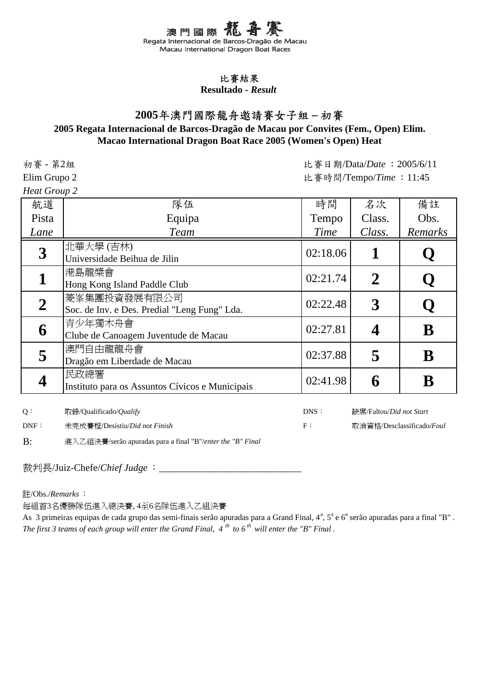#### 比賽結果

**Resultado -** *Result*

# **2005**年澳門國際龍舟邀請賽女子組 **–** 初賽

### **2005 Regata Internacional de Barcos-Dragão de Macau por Convites (Fem., Open) Elim. Macao International Dragon Boat Race 2005 (Women's Open) Heat**

初賽 - 第2組

*Heat Group 2*

比賽日期/Data/*Date* :2005/6/11 Elim Grupo 2 the fight of the contract of the set of the set of the set of the set of the set of the set of the set of the set of the set of the set of the set of the set of the set of the set of the set of the set of the

| 航道    | 隊伍                                              | 時間       | 名次          | 備註      |
|-------|-------------------------------------------------|----------|-------------|---------|
| Pista | Equipa                                          | Tempo    | Class.      | Obs.    |
| Lane  | <b>Team</b>                                     | Time     | Class.      | Remarks |
| 3     | 北華大學(吉林)                                        | 02:18.06 |             |         |
|       | Universidade Beihua de Jilin                    |          |             |         |
|       | 港島龍槳會                                           | 02:21.74 | $\mathbf 2$ |         |
|       | Hong Kong Island Paddle Club                    |          |             |         |
|       | 菱峯集團投資發展有限公司                                    |          |             |         |
|       | Soc. de Inv. e Des. Predial "Leng Fung" Lda.    | 02:22.48 | 3           |         |
|       | 青少年獨木舟會                                         | 02:27.81 |             |         |
| 6     | Clube de Canoagem Juventude de Macau            |          |             | B       |
|       | 澳門自由龍龍舟會                                        | 02:37.88 |             |         |
|       | Dragão em Liberdade de Macau                    |          | 5           | B       |
|       | 民政總署                                            | 02:41.98 |             |         |
|       | Instituto para os Assuntos Cívicos e Municipais |          |             |         |

Q: 取錄/Qualificado/*Qualify* DNS:

DNF: 未完成賽程/Desistiu/*Did not Finish* F:

B: 進入乙組決賽/serão apuradas para a final "B"/*enter the "B" Final*

裁判長/Juiz-Chefe/*Chief Judge*:

註/Obs./*Remarks* :

每組首3名優勝隊伍進入總決賽, 4至6名隊伍進入乙組決賽

*The first 3 teams of each group will enter the Grand Final, 4 th to 6 th will enter the "B" Final .* As 3 primeiras equipas de cada grupo das semi-finais serão apuradas para a Grand Final, 4<sup>a</sup>, 5<sup>a</sup> e 6<sup>a</sup> serão apuradas para a final "B".

缺席/Faltou/*Did not Start*

取消資格/Desclassificado/*Foul*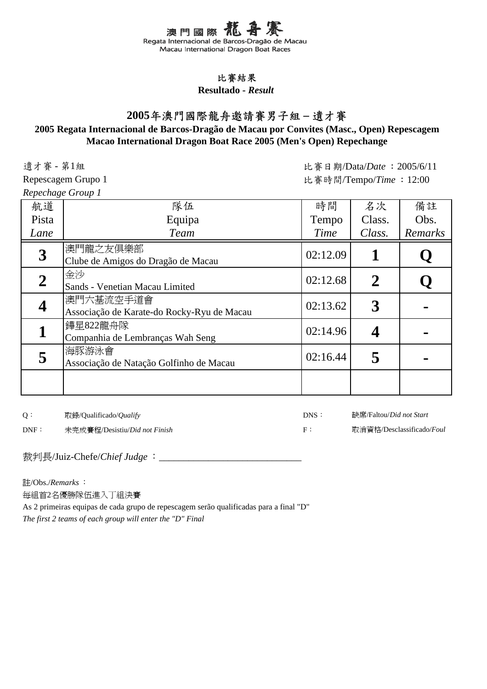## 比賽結果

**Resultado -** *Result*

# **2005**年澳門國際龍舟邀請賽男子組 **–** 遺才賽

### **Macao International Dragon Boat Race 2005 (Men's Open) Repechange 2005 Regata Internacional de Barcos-Dragão de Macau por Convites (Masc., Open) Repescagem**

遺才賽 - 第1組 Repescagem Grupo 1

*Repechage Group 1*

比賽日期/Data/*Date* :2005/6/11 比賽時間/Tempo/*Time* :12:00

| 航道               | 隊伍                                                      | 時間       | 名次          | 備註      |
|------------------|---------------------------------------------------------|----------|-------------|---------|
| Pista            | Equipa                                                  | Tempo    | Class.      | Obs.    |
| Lane             | <b>Team</b>                                             | Time     | Class.      | Remarks |
| $\boldsymbol{3}$ | 澳門龍之友俱樂部<br>Clube de Amigos do Dragão de Macau          | 02:12.09 |             | Ų       |
| 2                | 金沙<br>Sands - Venetian Macau Limited                    | 02:12.68 | $\mathbf 2$ |         |
|                  | 澳門六基流空手道會<br>Associação de Karate-do Rocky-Ryu de Macau | 02:13.62 |             |         |
|                  | 鏵星822龍舟隊<br>Companhia de Lembranças Wah Seng            | 02:14.96 |             |         |
|                  | 海豚游泳會<br>Associação de Natação Golfinho de Macau        | 02:16.44 |             |         |
|                  |                                                         |          |             |         |

Q: 取錄/Qualificado/*Qualify* DNS:

DNF: 未完成賽程/Desistiu/*Did not Finish* F:

缺席/Faltou/*Did not Start* 取消資格/Desclassificado/*Foul*

裁判長/Juiz-Chefe/*Chief Judge* : \_\_\_\_\_\_\_\_\_\_\_\_\_\_\_\_

註/Obs./*Remarks* :

每組首2名優勝隊伍進入丁組決賽

As 2 primeiras equipas de cada grupo de repescagem serão qualificadas para a final "D" *The first 2 teams of each group will enter the "D" Final*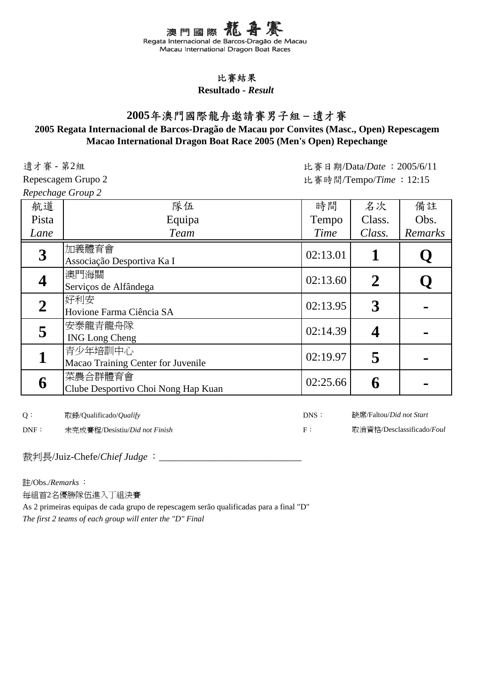## 比賽結果

**Resultado -** *Result*

# **2005**年澳門國際龍舟邀請賽男子組 **–** 遺才賽

### **Macao International Dragon Boat Race 2005 (Men's Open) Repechange 2005 Regata Internacional de Barcos-Dragão de Macau por Convites (Masc., Open) Repescagem**

遺才賽 - 第2組

Repescagem Grupo 2 *Repechage Group 2*

比賽日期/Data/*Date* :2005/6/11 比賽時間/Tempo/*Time* :12:15

|              | $\ldots$ p $\ldots$ $\ldots$ $\ldots$ $\ldots$ $\ldots$ |          |                |         |
|--------------|---------------------------------------------------------|----------|----------------|---------|
| 航道           | 隊伍                                                      | 時間       | 名次             | 備註      |
| Pista        | Equipa                                                  | Tempo    | Class.         | Obs.    |
| Lane         | <b>Team</b>                                             | Time     | Class.         | Remarks |
| 3            | 加義體育會<br>Associação Desportiva Ka I                     | 02:13.01 |                | Q       |
|              | 澳門海關<br>Serviços de Alfândega                           | 02:13.60 | $\overline{2}$ | Q       |
| $\mathbf{2}$ | 好利安<br>Hovione Farma Ciência SA                         | 02:13.95 | 3              |         |
| 5            | 安泰龍青龍舟隊<br><b>ING Long Cheng</b>                        | 02:14.39 |                |         |
|              | 青少年培訓中心<br>Macao Training Center for Juvenile           | 02:19.97 | 5              |         |
| 6            | 菜農合群體育會<br>Clube Desportivo Choi Nong Hap Kuan          | 02:25.66 |                |         |

Q: 取錄/Qualificado/*Qualify* DNS:

DNF: 未完成賽程/Desistiu/*Did not Finish* F:

缺席/Faltou/*Did not Start* 取消資格/Desclassificado/*Foul*

裁判長/Juiz-Chefe/*Chief Judge* : \_\_\_\_\_\_\_\_\_

註/Obs./*Remarks* :

每組首2名優勝隊伍進入丁組決賽

As 2 primeiras equipas de cada grupo de repescagem serão qualificadas para a final "D"

*The first 2 teams of each group will enter the "D" Final*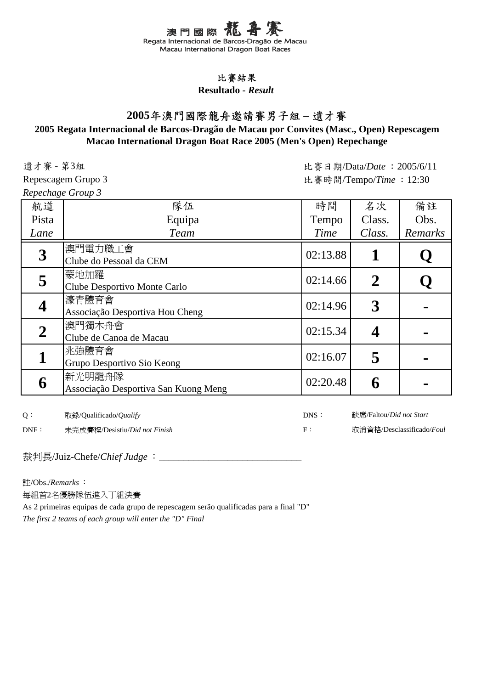## 比賽結果

**Resultado -** *Result*

# **2005**年澳門國際龍舟邀請賽男子組 **–** 遺才賽

### **Macao International Dragon Boat Race 2005 (Men's Open) Repechange 2005 Regata Internacional de Barcos-Dragão de Macau por Convites (Masc., Open) Repescagem**

遺才賽 - 第3組

Repescagem Grupo 3 *Repechage Group 3*

比賽日期/Data/*Date* :2005/6/11 比賽時間/Tempo/*Time* :12:30

| repethinge Group o      |                                                |          |                |         |
|-------------------------|------------------------------------------------|----------|----------------|---------|
| 航道                      | 隊伍                                             | 時間       | 名次             | 備註      |
| Pista                   | Equipa                                         | Tempo    | Class.         | Obs.    |
| Lane                    | <b>Team</b>                                    | Time     | Class.         | Remarks |
| 3                       | 澳門電力職工會<br>Clube do Pessoal da CEM             | 02:13.88 |                |         |
| 5                       | 蒙地加羅<br>Clube Desportivo Monte Carlo           | 02:14.66 | $\overline{2}$ |         |
| $\overline{\mathbf{4}}$ | 濠青體育會<br>Associação Desportiva Hou Cheng       | 02:14.96 | 3              |         |
| $\overline{2}$          | 澳門獨木舟會<br>Clube de Canoa de Macau              | 02:15.34 | 4              |         |
| 1                       | 兆強體育會<br>Grupo Desportivo Sio Keong            | 02:16.07 | 5              |         |
| 6                       | 新光明龍舟隊<br>Associação Desportiva San Kuong Meng | 02:20.48 | 6              |         |

Q: 取錄/Qualificado/*Qualify* DNS:

DNF: 未完成賽程/Desistiu/*Did not Finish* F:

缺席/Faltou/*Did not Start* 取消資格/Desclassificado/*Foul*

裁判長/Juiz-Chefe/*Chief Judge* : \_\_\_\_\_\_\_\_\_\_

註/Obs./*Remarks* :

每組首2名優勝隊伍進入丁組決賽

As 2 primeiras equipas de cada grupo de repescagem serão qualificadas para a final "D"

*The first 2 teams of each group will enter the "D" Final*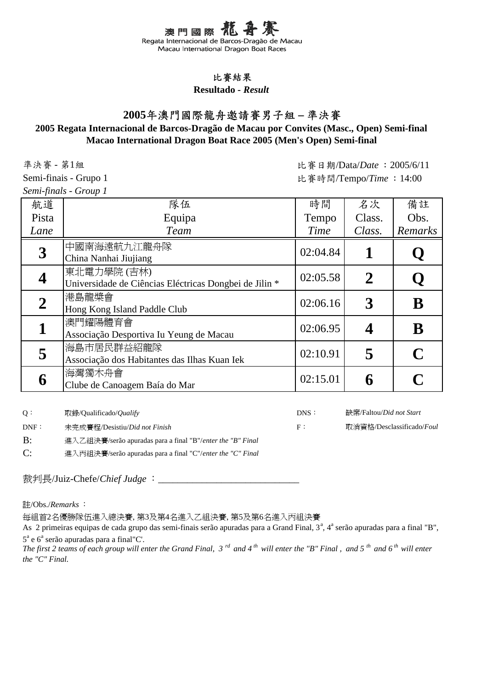

#### **Resultado -** *Result*

# **2005**年澳門國際龍舟邀請賽男子組 **–** 準決賽

### **Macao International Dragon Boat Race 2005 (Men's Open) Semi-final 2005 Regata Internacional de Barcos-Dragão de Macau por Convites (Masc., Open) Semi-final**

準決賽 - 第1組

Semi-finais - Grupo 1

*Semi-finals - Group 1*

| 航道               | 隊伍                                                                    | 時間       | 名次          | 備註      |
|------------------|-----------------------------------------------------------------------|----------|-------------|---------|
| Pista            | Equipa                                                                | Tempo    | Class.      | Obs.    |
| Lane             | <b>Team</b>                                                           | Time     | Class.      | Remarks |
| $\boldsymbol{3}$ | 中國南海遠航九江龍舟隊                                                           | 02:04.84 |             |         |
|                  | China Nanhai Jiujiang                                                 |          |             |         |
|                  | 東北電力學院 (吉林)<br>Universidade de Ciências Eléctricas Dongbei de Jilin * | 02:05.58 | $\mathbf 2$ |         |
|                  | 港島龍槳會<br>Hong Kong Island Paddle Club                                 | 02:06.16 | 3           | B       |
|                  | 澳門耀陽體育會<br>Associação Desportiva Iu Yeung de Macau                    | 02:06.95 |             | B       |
| 5                | 海島市居民群益紹龍隊<br>Associação dos Habitantes das Ilhas Kuan Iek            | 02:10.91 | 5           |         |
| 6                | 海灣獨木舟會<br>Clube de Canoagem Baía do Mar                               | 02:15.01 |             |         |

Q: 取錄/Qualificado/*Qualify* DNS:

缺席/Faltou/*Did not Start*

DNF: 未完成賽程/Desistiu/*Did not Finish* F:

B: 進入乙組決賽/serão apuradas para a final "B"/*enter the "B" Final*

C: 進入丙組決賽/serão apuradas para a final "C"/*enter the "C" Final*

裁判長/Juiz-Chefe/*Chief Judge* :

註/Obs./*Remarks* :

每組首2名優勝隊伍進入總決賽, 第3及第4名進入乙組決賽, 第5及第6名進入丙組決賽

As 2 primeiras equipas de cada grupo das semi-finais serão apuradas para a Grand Final, 3<sup>ª</sup>, 4<sup>ª</sup> serão apuradas para a final "B",  $5^{\degree}$  e  $6^{\degree}$  serão apuradas para a final"C'.

*The first 2 teams of each group will enter the Grand Final, 3 rd and 4 th will enter the "B" Final , and 5 th and 6 th will enter the "C" Final.*

取消資格/Desclassificado/*Foul*

比賽日期/Data/*Date* :2005/6/11 比賽時間/Tempo/*Time* :14:00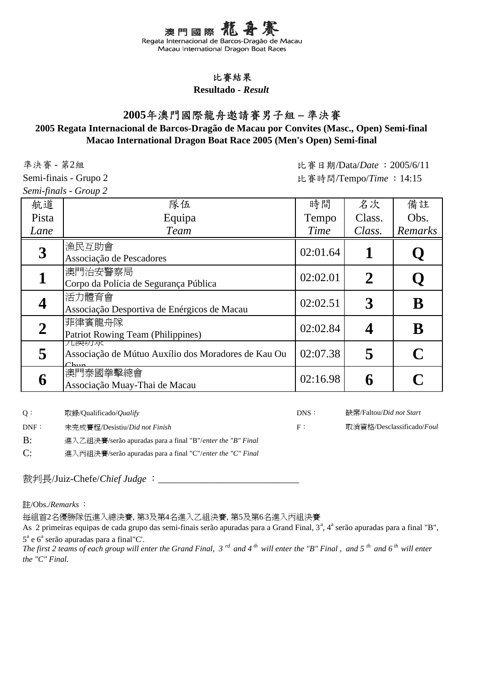

#### **Resultado -** *Result*

# **2005**年澳門國際龍舟邀請賽男子組 **–** 準決賽

### **Macao International Dragon Boat Race 2005 (Men's Open) Semi-final 2005 Regata Internacional de Barcos-Dragão de Macau por Convites (Masc., Open) Semi-final**

準決賽 - 第2組

比賽日期/Data/*Date* :2005/6/11 比賽時間/Tempo/*Time* :14:15

Semi-finais - Grupo 2 *Semi-finals - Group 2*

| 航道    | 隊伍                                                                        | 時間       | 名次     | 備註      |
|-------|---------------------------------------------------------------------------|----------|--------|---------|
| Pista | Equipa                                                                    | Tempo    | Class. | Obs.    |
| Lane  | <b>Team</b>                                                               | Time     | Class. | Remarks |
|       | 漁民互助會<br>Associação de Pescadores                                         | 02:01.64 |        |         |
|       | 澳門治安警察局<br>Corpo da Polícia de Segurança Pública                          | 02:02.01 | 2      |         |
|       | 活力體育會<br>Associação Desportiva de Enérgicos de Macau                      | 02:02.51 | 3      | B       |
|       | 菲律賓龍舟隊<br>Patriot Rowing Team (Philippines)                               | 02:02.84 |        | B       |
|       | 儿哭切水<br>Associação de Mútuo Auxílio dos Moradores de Kau Ou<br>$\cap$ hun | 02:07.38 | 5      |         |
| 6     | 澳門泰國拳擊總會<br>Associação Muay-Thai de Macau                                 | 02:16.98 |        |         |

Q: 取錄/Qualificado/*Qualify* DNS:

缺席/Faltou/*Did not Start*

取消資格/Desclassificado/*Foul*

B: 進入乙組決賽/serão apuradas para a final "B"/*enter the "B" Final*

C: 進入丙組決賽/serão apuradas para a final "C"/*enter the "C" Final*

裁判長/Juiz-Chefe/*Chief Judge* :

註/Obs./*Remarks* :

每組首2名優勝隊伍進入總決賽, 第3及第4名進入乙組決賽, 第5及第6名進入丙組決賽

DNF: 未完成賽程/Desistiu/*Did not Finish* F:

As 2 primeiras equipas de cada grupo das semi-finais serão apuradas para a Grand Final, 3<sup>ª</sup>, 4<sup>ª</sup> serão apuradas para a final "B",  $5^{\degree}$  e  $6^{\degree}$  serão apuradas para a final"C'.

*The first 2 teams of each group will enter the Grand Final, 3 rd and 4 th will enter the "B" Final , and 5 th and 6 th will enter the "C" Final.*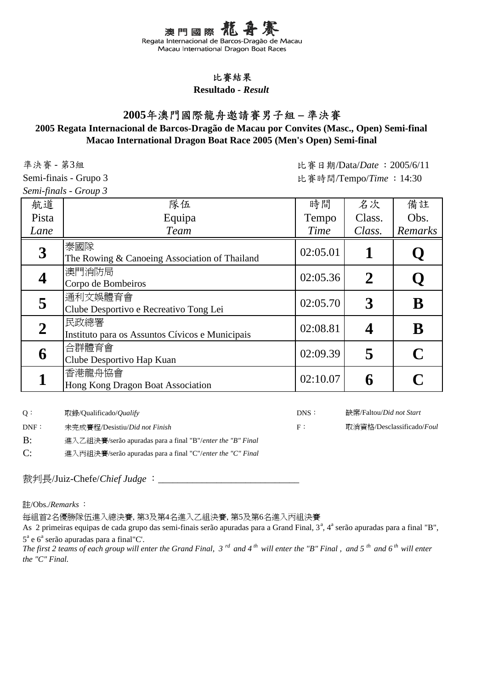

#### **Resultado -** *Result*

# **2005**年澳門國際龍舟邀請賽男子組 **–** 準決賽

#### **Macao International Dragon Boat Race 2005 (Men's Open) Semi-final 2005 Regata Internacional de Barcos-Dragão de Macau por Convites (Masc., Open) Semi-final**

準決賽 - 第3組

比賽日期/Data/*Date* :2005/6/11 比賽時間/Tempo/*Time* :14:30

Semi-finais - Grupo 3 *Semi-finals - Group 3*

| 航道               | 隊伍                                                      | 時間       | 名次     | 備註      |
|------------------|---------------------------------------------------------|----------|--------|---------|
| Pista            | Equipa                                                  | Tempo    | Class. | Obs.    |
| Lane             | <b>Team</b>                                             | Time     | Class. | Remarks |
| $\boldsymbol{3}$ | 泰國隊<br>The Rowing & Canoeing Association of Thailand    | 02:05.01 |        |         |
|                  | 澳門消防局<br>Corpo de Bombeiros                             | 02:05.36 | 2      |         |
| 5                | 通利文娛體育會<br>Clube Desportivo e Recreativo Tong Lei       | 02:05.70 | 3      | B       |
|                  | 民政總署<br>Instituto para os Assuntos Cívicos e Municipais | 02:08.81 |        | B       |
| 6                | 合群體育會<br>Clube Desportivo Hap Kuan                      | 02:09.39 | 5      |         |
|                  | 香港龍舟協會<br>Hong Kong Dragon Boat Association             | 02:10.07 |        |         |

Q: 取錄/Qualificado/*Qualify* DNS:

缺席/Faltou/*Did not Start*

取消資格/Desclassificado/*Foul*

DNF: 未完成賽程/Desistiu/*Did not Finish* F:

B: 進入乙組決賽/serão apuradas para a final "B"/*enter the "B" Final*

C: 進入丙組決賽/serão apuradas para a final "C"/*enter the "C" Final*

裁判長/Juiz-Chefe/*Chief Judge* :

註/Obs./*Remarks* :

每組首2名優勝隊伍進入總決賽, 第3及第4名進入乙組決賽, 第5及第6名進入丙組決賽

As 2 primeiras equipas de cada grupo das semi-finais serão apuradas para a Grand Final, 3<sup>ª</sup>, 4<sup>ª</sup> serão apuradas para a final "B",  $5^{\degree}$  e  $6^{\degree}$  serão apuradas para a final"C'.

*The first 2 teams of each group will enter the Grand Final, 3 rd and 4 th will enter the "B" Final , and 5 th and 6 th will enter the "C" Final.*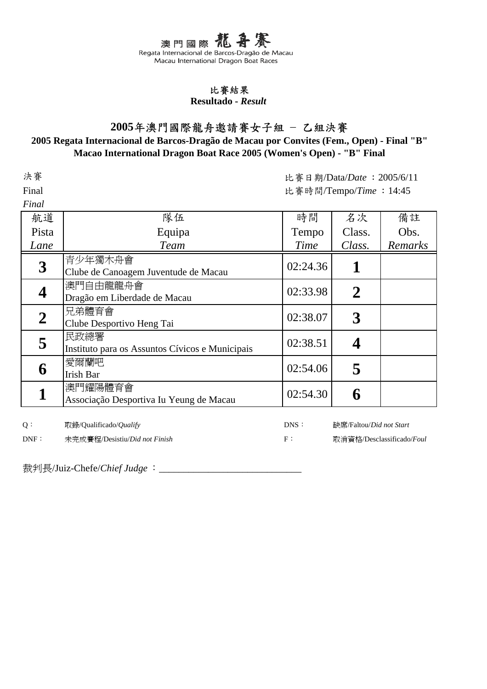#### 比賽結果

#### **Resultado -** *Result*

## **2005**年澳門國際龍舟邀請賽女子組 – 乙組決賽

### **Macao International Dragon Boat Race 2005 (Women's Open) - "B" Final 2005 Regata Internacional de Barcos-Dragão de Macau por Convites (Fem., Open) - Final "B"**

決賽

Final

*Final* 

比賽日期/Data/*Date* :2005/6/11 比賽時間/Tempo/*Time* :14:45

| r <i>uw</i>      |                                                         |          |                         |         |
|------------------|---------------------------------------------------------|----------|-------------------------|---------|
| 航道               | 隊伍                                                      | 時間       | 名次                      | 備註      |
| Pista            | Equipa                                                  | Tempo    | Class.                  | Obs.    |
| Lane             | <b>Team</b>                                             | Time     | Class.                  | Remarks |
| $\boldsymbol{3}$ | 青少年獨木舟會<br>Clube de Canoagem Juventude de Macau         | 02:24.36 | 1                       |         |
| 4                | 澳門自由龍龍舟會<br>Dragão em Liberdade de Macau                | 02:33.98 | $\boldsymbol{2}$        |         |
| $\boldsymbol{2}$ | 兄弟體育會<br>Clube Desportivo Heng Tai                      | 02:38.07 | $\overline{3}$          |         |
| 5                | 民政總署<br>Instituto para os Assuntos Cívicos e Municipais | 02:38.51 | 4                       |         |
| 6                | 愛爾蘭吧<br><b>Irish Bar</b>                                | 02:54.06 | 5                       |         |
|                  | 澳門耀陽體育會<br>Associação Desportiva Iu Yeung de Macau      | 02:54.30 | 6                       |         |
| Q:               | 取錄/Qualificado/ <i>Qualify</i>                          | DNS:     | 缺席/Faltou/Did not Start |         |

DNF: 未完成賽程/Desistiu/*Did not Finish* F:

取消資格/Desclassificado/*Foul*

裁判長/Juiz-Chefe/*Chief Judge* : \_\_\_\_\_\_\_\_\_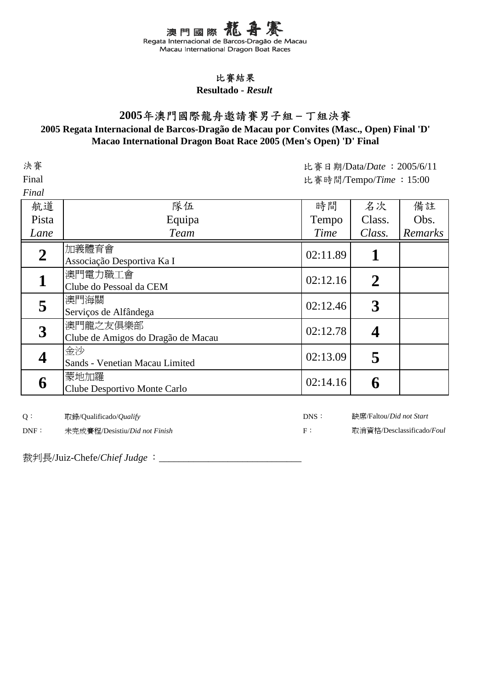# 比賽結果

#### **Resultado -** *Result*

# **2005**年澳門國際龍舟邀請賽男子組 **–** 丁組決賽

### **Macao International Dragon Boat Race 2005 (Men's Open) 'D' Final 2005 Regata Internacional de Barcos-Dragão de Macau por Convites (Masc., Open) Final 'D'**

| 決賽               |                                    | 比賽日期/Data/Date: 2005/6/11 |                |         |  |
|------------------|------------------------------------|---------------------------|----------------|---------|--|
| Final            |                                    | 比賽時間/Tempo/Time: 15:00    |                |         |  |
| Final            |                                    |                           |                |         |  |
| 航道               | 隊伍                                 | 時間                        | 名次             | 備註      |  |
| Pista            | Equipa                             | Tempo                     | Class.         | Obs.    |  |
| Lane             | <b>Team</b>                        | Time                      | Class.         | Remarks |  |
| $\boldsymbol{2}$ | 加義體育會                              | 02:11.89                  | 1              |         |  |
|                  | Associação Desportiva Ka I         |                           |                |         |  |
|                  | 澳門電力職工會                            | 02:12.16                  | $\overline{2}$ |         |  |
|                  | Clube do Pessoal da CEM            |                           |                |         |  |
| 5                | 澳門海關                               | 02:12.46                  | $\mathbf{3}$   |         |  |
|                  | Serviços de Alfândega              |                           |                |         |  |
| $\mathbf{3}$     | 澳門龍之友俱樂部                           | 02:12.78                  | 4              |         |  |
|                  | Clube de Amigos do Dragão de Macau |                           |                |         |  |
|                  | 金沙                                 | 02:13.09                  | 5              |         |  |
|                  | Sands - Venetian Macau Limited     |                           |                |         |  |
| 6                | 蒙地加羅                               | 02:14.16                  |                |         |  |
|                  | Clube Desportivo Monte Carlo       |                           | 6              |         |  |
|                  |                                    |                           |                |         |  |

缺席/Faltou/*Did not Start*

取消資格/Desclassificado/*Foul*

Q: 取錄/Qualificado/*Qualify* DNS:

DNF: 未完成賽程/Desistiu/*Did not Finish* F: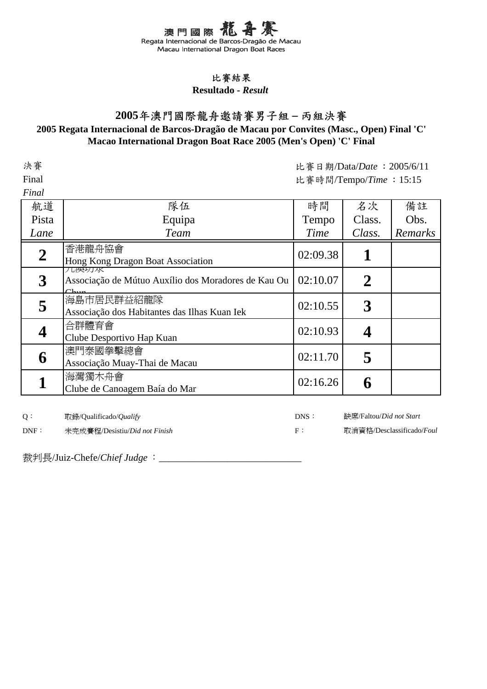

### **Resultado -** *Result*

# **2005**年澳門國際龍舟邀請賽男子組 **–** 丙組決賽

### **Macao International Dragon Boat Race 2005 (Men's Open) 'C' Final 2005 Regata Internacional de Barcos-Dragão de Macau por Convites (Masc., Open) Final 'C'**

| 決賽               |                                                                     | 比賽日期/Data/Date: 2005/6/11 |                                 |         |  |
|------------------|---------------------------------------------------------------------|---------------------------|---------------------------------|---------|--|
| Final            |                                                                     | 比賽時間/Tempo/Time: 15:15    |                                 |         |  |
| Final            |                                                                     |                           |                                 |         |  |
| 航道               | 隊伍                                                                  | 時間                        | 名次                              | 備註      |  |
| Pista            | Equipa                                                              | Tempo                     | Class.                          | Obs.    |  |
| Lane             | <b>Team</b>                                                         | Time                      | Class.                          | Remarks |  |
| $\boldsymbol{2}$ | 香港龍舟協會<br>Hong Kong Dragon Boat Association                         | 02:09.38                  | 1                               |         |  |
| $\mathbf{3}$     | 儿哭切水<br>Associação de Mútuo Auxílio dos Moradores de Kau Ou<br>Chun | 02:10.07                  | $\boldsymbol{2}$                |         |  |
| 5                | 海島市居民群益紹龍隊<br>Associação dos Habitantes das Ilhas Kuan Iek          | 02:10.55                  | 3                               |         |  |
| 4                | 合群體育會<br>Clube Desportivo Hap Kuan                                  | 02:10.93                  | 4                               |         |  |
| 6                | 澳門泰國拳擊總會<br>Associação Muay-Thai de Macau                           | 02:11.70                  | 5                               |         |  |
|                  | 海灣獨木舟會<br>Clube de Canoagem Baía do Mar                             | 02:16.26                  | 6                               |         |  |
| 0:               | 取錄/Oualificado/ <i>Oualify</i>                                      | DNS:                      | 缺席/Faltou/ <i>Did not Start</i> |         |  |

取消資格/Desclassificado/*Foul*

Q: 取錄/Qualificado/*Qualify* DNS:

DNF: 未完成賽程/Desistiu/*Did not Finish* F: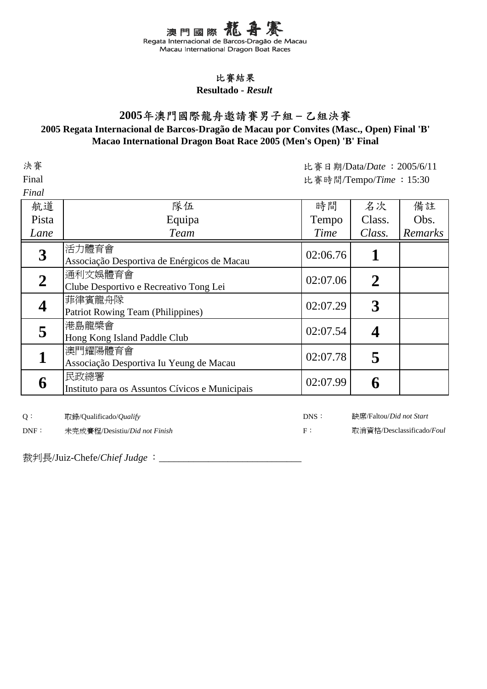## 比賽結果

#### **Resultado -** *Result*

# **2005**年澳門國際龍舟邀請賽男子組 **–** 乙組決賽

### **Macao International Dragon Boat Race 2005 (Men's Open) 'B' Final 2005 Regata Internacional de Barcos-Dragão de Macau por Convites (Masc., Open) Final 'B'**

|                                                         | 比賽日期/Data/Date: 2005/6/11 |                  |         |
|---------------------------------------------------------|---------------------------|------------------|---------|
|                                                         | 比賽時間/Tempo/Time: 15:30    |                  |         |
|                                                         |                           |                  |         |
| 隊伍                                                      | 時間                        | 名次               | 備註      |
| Equipa                                                  | Tempo                     | Class.           | Obs.    |
| <b>Team</b>                                             | Time                      | Class.           | Remarks |
| 活力體育會<br>Associação Desportiva de Enérgicos de Macau    | 02:06.76                  | 1                |         |
| 通利文娛體育會<br>Clube Desportivo e Recreativo Tong Lei       | 02:07.06                  | $\boldsymbol{2}$ |         |
| 菲律賓龍舟隊<br><b>Patriot Rowing Team (Philippines)</b>      | 02:07.29                  | $\boldsymbol{3}$ |         |
| 港島龍槳會<br>Hong Kong Island Paddle Club                   | 02:07.54                  | 4                |         |
| 澳門耀陽體育會<br>Associação Desportiva Iu Yeung de Macau      | 02:07.78                  | 5                |         |
| 民政總署<br>Instituto para os Assuntos Cívicos e Municipais | 02:07.99                  | 6                |         |
|                                                         |                           |                  |         |

缺席/Faltou/*Did not Start*

取消資格/Desclassificado/*Foul*

Q: 取錄/Qualificado/*Qualify* DNS:

DNF: 未完成賽程/Desistiu/*Did not Finish* F: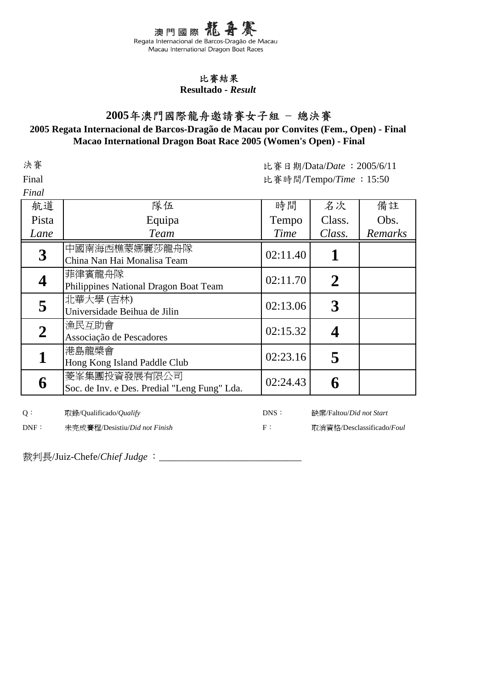#### 比賽結果

**Resultado -** *Result*

# **2005**年澳門國際龍舟邀請賽女子組 – 總決賽

### **2005 Regata Internacional de Barcos-Dragão de Macau por Convites (Fem., Open) - Final Macao International Dragon Boat Race 2005 (Women's Open) - Final**

決賽

Final

 $\mathbf{r}$   $\mathbf{r}$   $\mathbf{r}$ 

比賽日期/Data/*Date* :2005/6/11 比賽時間/Tempo/*Time* :15:50

| r inal           |                                                              |          |                |         |
|------------------|--------------------------------------------------------------|----------|----------------|---------|
| 航道               | 隊伍                                                           | 時間       | 名次             | 備註      |
| Pista            | Equipa                                                       | Tempo    | Class.         | Obs.    |
| Lane             | <b>Team</b>                                                  | Time     | Class.         | Remarks |
| $\boldsymbol{3}$ | 中國南海西樵蒙娜麗莎龍舟隊<br>China Nan Hai Monalisa Team                 | 02:11.40 |                |         |
|                  | 菲律賓龍舟隊<br>Philippines National Dragon Boat Team              | 02:11.70 | $\overline{2}$ |         |
| 5                | 北華大學(吉林)<br>Universidade Beihua de Jilin                     | 02:13.06 |                |         |
| $\boldsymbol{2}$ | 漁民互助會<br>Associação de Pescadores                            | 02:15.32 |                |         |
|                  | 港島龍槳會<br>Hong Kong Island Paddle Club                        | 02:23.16 |                |         |
| 6                | 菱峯集團投資發展有限公司<br>Soc. de Inv. e Des. Predial "Leng Fung" Lda. | 02:24.43 |                |         |

Q: 取錄/Qualificado/*Qualify* DNS:

缺席/Faltou/*Did not Start*

DNF: 未完成賽程/Desistiu/*Did not Finish* F:

取消資格/Desclassificado/*Foul*

裁判長/Juiz-Chefe/*Chief Judge* : \_\_\_\_\_\_\_\_\_\_\_